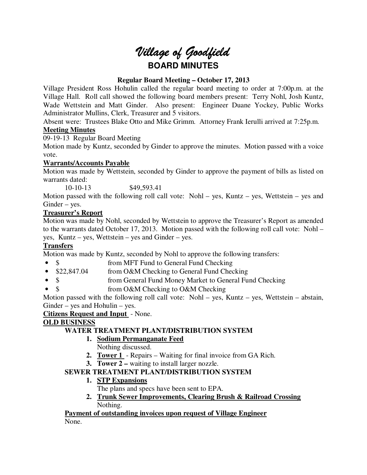# *Village of Goodfield* **BOARD MINUTES**

# **Regular Board Meeting – October 17, 2013**

Village President Ross Hohulin called the regular board meeting to order at 7:00p.m. at the Village Hall. Roll call showed the following board members present: Terry Nohl, Josh Kuntz, Wade Wettstein and Matt Ginder. Also present: Engineer Duane Yockey, Public Works Administrator Mullins, Clerk, Treasurer and 5 visitors.

Absent were: Trustees Blake Otto and Mike Grimm. Attorney Frank Ierulli arrived at 7:25p.m. **Meeting Minutes** 

09-19-13 Regular Board Meeting

Motion made by Kuntz, seconded by Ginder to approve the minutes. Motion passed with a voice vote.

# **Warrants/Accounts Payable**

Motion was made by Wettstein, seconded by Ginder to approve the payment of bills as listed on warrants dated:

10-10-13 \$49,593.41

Motion passed with the following roll call vote: Nohl – yes, Kuntz – yes, Wettstein – yes and Ginder – yes.

# **Treasurer's Report**

Motion was made by Nohl, seconded by Wettstein to approve the Treasurer's Report as amended to the warrants dated October 17, 2013. Motion passed with the following roll call vote: Nohl – yes, Kuntz – yes, Wettstein – yes and Ginder – yes.

# **Transfers**

Motion was made by Kuntz, seconded by Nohl to approve the following transfers:

- \$ from MFT Fund to General Fund Checking
- \$22,847.04 from O&M Checking to General Fund Checking
- \$ from General Fund Money Market to General Fund Checking
- \$ from O&M Checking to O&M Checking

Motion passed with the following roll call vote: Nohl – yes, Kuntz – yes, Wettstein – abstain, Ginder – yes and Hohulin – yes.

**Citizens Request and Input** - None.

# **OLD BUSINESS**

# **WATER TREATMENT PLANT/DISTRIBUTION SYSTEM**

# **1. Sodium Permanganate Feed**

Nothing discussed.

- **2. Tower 1**  Repairs Waiting for final invoice from GA Rich.
- **3. Tower 2** waiting to install larger nozzle.

# **SEWER TREATMENT PLANT/DISTRIBUTION SYSTEM**

- **1. STP Expansions** 
	- The plans and specs have been sent to EPA.
- **2. Trunk Sewer Improvements, Clearing Brush & Railroad Crossing**  Nothing.

# **Payment of outstanding invoices upon request of Village Engineer**

None.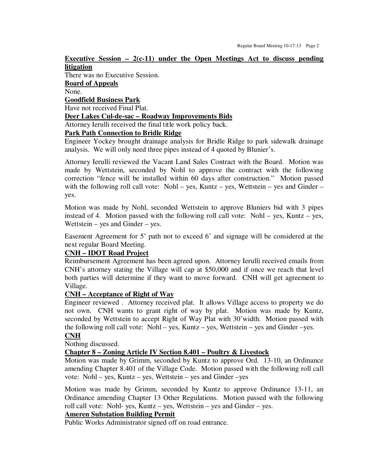### **Executive Session – 2(c-11) under the Open Meetings Act to discuss pending litigation**

There was no Executive Session. **Board of Appeals**  None. **Goodfield Business Park**  Have not received Final Plat. **Deer Lakes Cul-de-sac – Roadway Improvements Bids**  Attorney Ierulli received the final title work policy back.

### **Park Path Connection to Bridle Ridge**

Engineer Yockey brought drainage analysis for Bridle Ridge to park sidewalk drainage analysis. We will only need three pipes instead of 4 quoted by Blunier's.

Attorney Ierulli reviewed the Vacant Land Sales Contract with the Board. Motion was made by Wettstein, seconded by Nohl to approve the contract with the following correction "fence will be installed within 60 days after construction." Motion passed with the following roll call vote: Nohl – yes, Kuntz – yes, Wettstein – yes and Ginder – yes.

Motion was made by Nohl, seconded Wettstein to approve Bluniers bid with 3 pipes instead of 4. Motion passed with the following roll call vote: Nohl – yes, Kuntz – yes, Wettstein – yes and Ginder – yes.

Easement Agreement for 5' path not to exceed 6' and signage will be considered at the next regular Board Meeting.

### **CNH – IDOT Road Project**

Reimbursement Agreement has been agreed upon. Attorney Ierulli received emails from CNH's attorney stating the Village will cap at \$50,000 and if once we reach that level both parties will determine if they want to move forward. CNH will get agreement to Village.

### **CNH – Acceptance of Right of Way**

Engineer reviewed . Attorney received plat. It allows Village access to property we do not own. CNH wants to grant right of way by plat. Motion was made by Kuntz, seconded by Wettstein to accept Right of Way Plat with 30'width. Motion passed with the following roll call vote: Nohl – yes, Kuntz – yes, Wettstein – yes and Ginder –yes. **CNH** 

Nothing discussed.

### **Chapter 8 – Zoning Article IV Section 8.401 – Poultry & Livestock**

Motion was made by Grimm, seconded by Kuntz to approve Ord. 13-10, an Ordinance amending Chapter 8.401 of the Village Code. Motion passed with the following roll call vote: Nohl – yes, Kuntz – yes, Wettstein – yes and Ginder –yes

Motion was made by Grimm, seconded by Kuntz to approve Ordinance 13-11, an Ordinance amending Chapter 13 Other Regulations. Motion passed with the following roll call vote: Nohl- yes, Kuntz – yes, Wettstein – yes and Ginder – yes.

# **Ameren Substation Building Permit**

Public Works Administrator signed off on road entrance.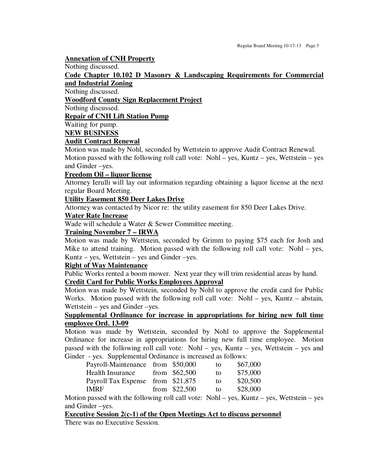### **Annexation of CNH Property**

Nothing discussed.

**Code Chapter 10.102 D Masonry & Landscaping Requirements for Commercial and Industrial Zoning** 

Nothing discussed.

**Woodford County Sign Replacement Project** 

Nothing discussed.

**Repair of CNH Lift Station Pump** 

Waiting for pump.

**NEW BUSINESS** 

### **Audit Contract Renewal**

Motion was made by Nohl, seconded by Wettstein to approve Audit Contract Renewal. Motion passed with the following roll call vote: Nohl – yes, Kuntz – yes, Wettstein – yes and Ginder –yes.

### **Freedom Oil – liquor license**

Attorney Ierulli will lay out information regarding obtaining a liquor license at the next regular Board Meeting.

### **Utility Easement 850 Deer Lakes Drive**

Attorney was contacted by Nicor re: the utility easement for 850 Deer Lakes Drive.

### **Water Rate Increase**

Wade will schedule a Water & Sewer Committee meeting.

### **Training November 7 – IRWA**

Motion was made by Wettstein, seconded by Grimm to paying \$75 each for Josh and Mike to attend training. Motion passed with the following roll call vote: Nohl – yes, Kuntz – yes, Wettstein – yes and Ginder –yes.

### **Right of Way Maintenance**

Public Works rented a boom mower. Next year they will trim residential areas by hand.

# **Credit Card for Public Works Employees Approval**

Motion was made by Wettstein, seconded by Nohl to approve the credit card for Public Works. Motion passed with the following roll call vote: Nohl – yes, Kuntz – abstain, Wettstein – yes and Ginder –yes.

### **Supplemental Ordinance for increase in appropriations for hiring new full time employee Ord. 13-09**

Motion was made by Wettstein, seconded by Nohl to approve the Supplemental Ordinance for increase in appropriations for hiring new full time employee. Motion passed with the following roll call vote: Nohl – yes, Kuntz – yes, Wettstein – yes and Ginder - yes. Supplemental Ordinance is increased as follows:

| Payroll-Maintenance from \$50,000 |                | to | \$67,000 |
|-----------------------------------|----------------|----|----------|
| <b>Health Insurance</b>           | from $$62,500$ | to | \$75,000 |
| Payroll Tax Expense from \$21,875 |                | to | \$20,500 |
| <b>IMRF</b>                       | from $$22,500$ | to | \$28,000 |
|                                   |                |    |          |

Motion passed with the following roll call vote: Nohl – yes, Kuntz – yes, Wettstein – yes and Ginder –yes.

### **Executive Session 2(c-1) of the Open Meetings Act to discuss personnel**

There was no Executive Session.